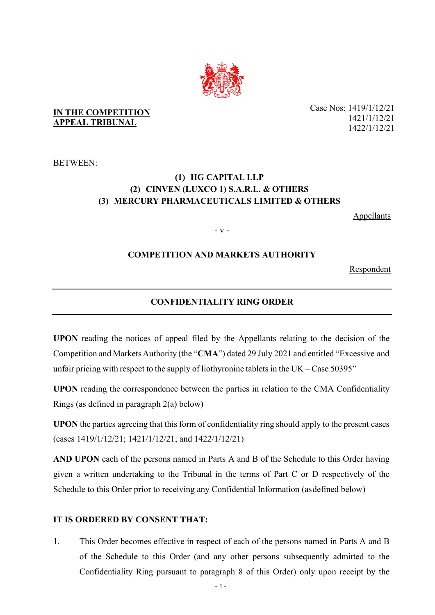

## **IN THE COMPETITION APPEAL TRIBUNAL**

BETWEEN:

# **(1) HG CAPITAL LLP (2) CINVEN (LUXCO 1) S.A.R.L. & OTHERS (3) MERCURY PHARMACEUTICALS LIMITED & OTHERS**

Appellants

- v -

# **COMPETITION AND MARKETS AUTHORITY**

Respondent

## **CONFIDENTIALITY RING ORDER**

**UPON** reading the notices of appeal filed by the Appellants relating to the decision of the Competition and Markets Authority (the "**CMA**") dated 29 July 2021 and entitled "Excessive and unfair pricing with respect to the supply of liothyronine tablets in the  $UK - Case 50395"$ 

**UPON** reading the correspondence between the parties in relation to the CMA Confidentiality Rings (as defined in paragraph 2(a) below)

**UPON** the parties agreeing that this form of confidentiality ring should apply to the present cases (cases 1419/1/12/21; 1421/1/12/21; and 1422/1/12/21)

**AND UPON** each of the persons named in Parts A and B of the Schedule to this Order having given a written undertaking to the Tribunal in the terms of Part C or D respectively of the Schedule to this Order prior to receiving any Confidential Information (as defined below)

## **IT IS ORDERED BY CONSENT THAT:**

1. This Order becomes effective in respect of each of the persons named in Parts A and B of the Schedule to this Order (and any other persons subsequently admitted to the Confidentiality Ring pursuant to paragraph 8 of this Order) only upon receipt by the

Case Nos: 1419/1/12/21 1421/1/12/21 1422/1/12/21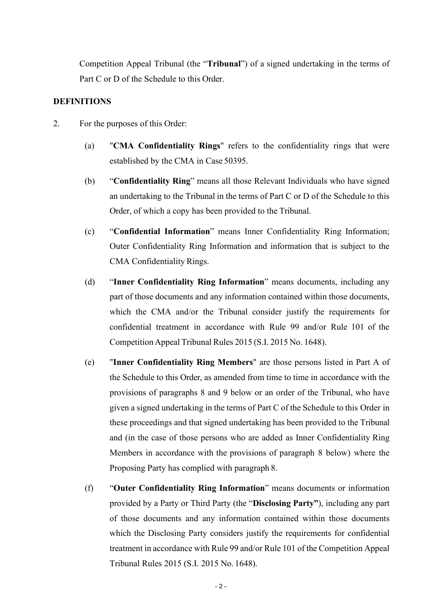Competition Appeal Tribunal (the "**Tribunal**") of a signed undertaking in the terms of Part C or D of the Schedule to this Order.

## **DEFINITIONS**

- 2. For the purposes of this Order:
	- (a) "**CMA Confidentiality Rings**" refers to the confidentiality rings that were established by the CMA in Case 50395.
	- (b) "**Confidentiality Ring**" means all those Relevant Individuals who have signed an undertaking to the Tribunal in the terms of Part C or D of the Schedule to this Order, of which a copy has been provided to the Tribunal.
	- (c) "**Confidential Information**" means Inner Confidentiality Ring Information; Outer Confidentiality Ring Information and information that is subject to the CMA Confidentiality Rings.
	- (d) "**Inner Confidentiality Ring Information**" means documents, including any part of those documents and any information contained within those documents, which the CMA and/or the Tribunal consider justify the requirements for confidential treatment in accordance with Rule 99 and/or Rule 101 of the CompetitionAppeal Tribunal Rules 2015 (S.I. 2015 No. 1648).
	- (e) "**Inner Confidentiality Ring Members**" are those persons listed in Part A of the Schedule to this Order, as amended from time to time in accordance with the provisions of paragraphs 8 and 9 below or an order of the Tribunal, who have given a signed undertaking in the terms of Part C of the Schedule to this Order in these proceedings and that signed undertaking has been provided to the Tribunal and (in the case of those persons who are added as Inner Confidentiality Ring Members in accordance with the provisions of paragraph 8 below) where the Proposing Party has complied with paragraph 8.
	- (f) "**Outer Confidentiality Ring Information**" means documents or information provided by a Party or Third Party (the "**Disclosing Party"**), including any part of those documents and any information contained within those documents which the Disclosing Party considers justify the requirements for confidential treatment in accordance with Rule 99 and/or Rule 101 of the Competition Appeal Tribunal Rules 2015 (S.I. 2015 No. 1648).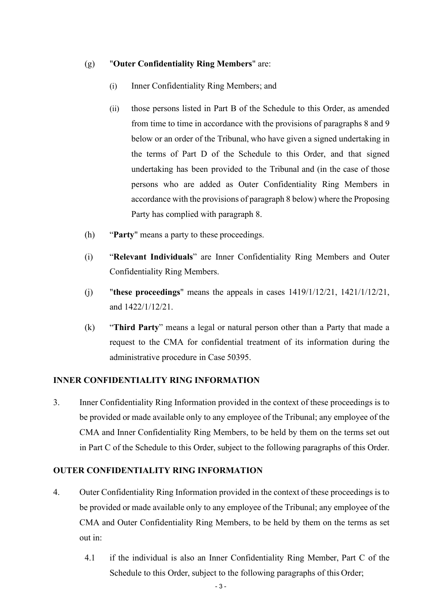## (g) "**Outer Confidentiality Ring Members**" are:

- (i) Inner Confidentiality Ring Members; and
- (ii) those persons listed in Part B of the Schedule to this Order, as amended from time to time in accordance with the provisions of paragraphs 8 and 9 below or an order of the Tribunal, who have given a signed undertaking in the terms of Part D of the Schedule to this Order, and that signed undertaking has been provided to the Tribunal and (in the case of those persons who are added as Outer Confidentiality Ring Members in accordance with the provisions of paragraph 8 below) where the Proposing Party has complied with paragraph 8.
- (h) "**Party**" means a party to these proceedings.
- (i) "**Relevant Individuals**" are Inner Confidentiality Ring Members and Outer Confidentiality Ring Members.
- (j) "**these proceedings**" means the appeals in cases 1419/1/12/21, 1421/1/12/21, and 1422/1/12/21.
- (k) "**Third Party**" means a legal or natural person other than a Party that made a request to the CMA for confidential treatment of its information during the administrative procedure in Case 50395.

## **INNER CONFIDENTIALITY RING INFORMATION**

3. Inner Confidentiality Ring Information provided in the context of these proceedings is to be provided or made available only to any employee of the Tribunal; any employee of the CMA and Inner Confidentiality Ring Members, to be held by them on the terms set out in Part C of the Schedule to this Order, subject to the following paragraphs of this Order.

## **OUTER CONFIDENTIALITY RING INFORMATION**

- 4. Outer Confidentiality Ring Information provided in the context of these proceedings is to be provided or made available only to any employee of the Tribunal; any employee of the CMA and Outer Confidentiality Ring Members, to be held by them on the terms as set out in:
	- 4.1 if the individual is also an Inner Confidentiality Ring Member, Part C of the Schedule to this Order, subject to the following paragraphs of this Order;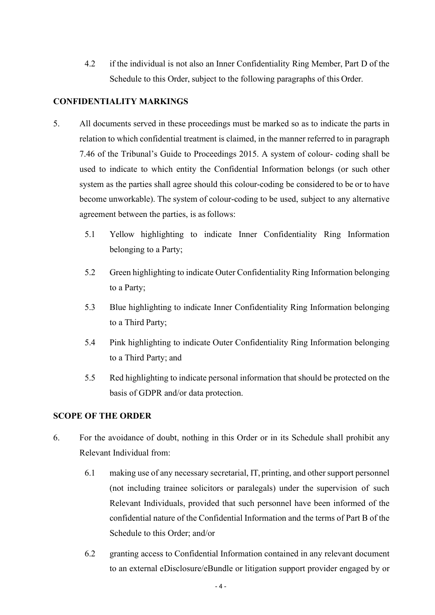4.2 if the individual is not also an Inner Confidentiality Ring Member, Part D of the Schedule to this Order, subject to the following paragraphs of this Order.

# **CONFIDENTIALITY MARKINGS**

- 5. All documents served in these proceedings must be marked so as to indicate the parts in relation to which confidential treatment is claimed, in the manner referred to in paragraph 7.46 of the Tribunal's Guide to Proceedings 2015. A system of colour- coding shall be used to indicate to which entity the Confidential Information belongs (or such other system as the parties shall agree should this colour-coding be considered to be or to have become unworkable). The system of colour-coding to be used, subject to any alternative agreement between the parties, is as follows:
	- 5.1 Yellow highlighting to indicate Inner Confidentiality Ring Information belonging to a Party;
	- 5.2 Green highlighting to indicate Outer Confidentiality Ring Information belonging to a Party;
	- 5.3 Blue highlighting to indicate Inner Confidentiality Ring Information belonging to a Third Party;
	- 5.4 Pink highlighting to indicate Outer Confidentiality Ring Information belonging to a Third Party; and
	- 5.5 Red highlighting to indicate personal information that should be protected on the basis of GDPR and/or data protection.

## **SCOPE OF THE ORDER**

- 6. For the avoidance of doubt, nothing in this Order or in its Schedule shall prohibit any Relevant Individual from:
	- 6.1 making use of any necessary secretarial, IT, printing, and other support personnel (not including trainee solicitors or paralegals) under the supervision of such Relevant Individuals, provided that such personnel have been informed of the confidential nature of the Confidential Information and the terms of Part B of the Schedule to this Order; and/or
	- 6.2 granting access to Confidential Information contained in any relevant document to an external eDisclosure/eBundle or litigation support provider engaged by or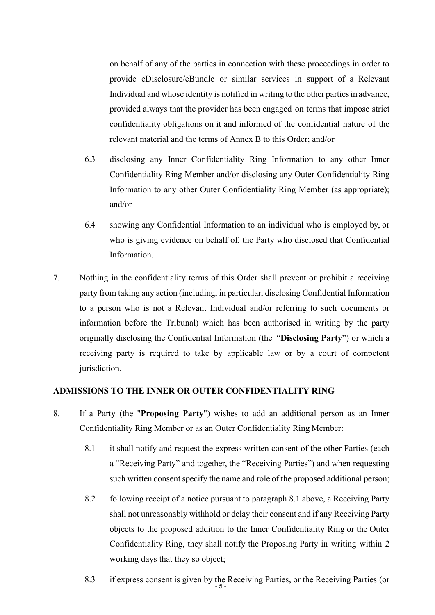on behalf of any of the parties in connection with these proceedings in order to provide eDisclosure/eBundle or similar services in support of a Relevant Individual and whose identity is notified in writing to the other partiesin advance, provided always that the provider has been engaged on terms that impose strict confidentiality obligations on it and informed of the confidential nature of the relevant material and the terms of Annex B to this Order; and/or

- 6.3 disclosing any Inner Confidentiality Ring Information to any other Inner Confidentiality Ring Member and/or disclosing any Outer Confidentiality Ring Information to any other Outer Confidentiality Ring Member (as appropriate); and/or
- 6.4 showing any Confidential Information to an individual who is employed by, or who is giving evidence on behalf of, the Party who disclosed that Confidential Information.
- 7. Nothing in the confidentiality terms of this Order shall prevent or prohibit a receiving party from taking any action (including, in particular, disclosing Confidential Information to a person who is not a Relevant Individual and/or referring to such documents or information before the Tribunal) which has been authorised in writing by the party originally disclosing the Confidential Information (the "**Disclosing Party**") or which a receiving party is required to take by applicable law or by a court of competent jurisdiction.

## **ADMISSIONS TO THE INNER OR OUTER CONFIDENTIALITY RING**

- 8. If a Party (the "**Proposing Party**") wishes to add an additional person as an Inner Confidentiality Ring Member or as an Outer Confidentiality Ring Member:
	- 8.1 it shall notify and request the express written consent of the other Parties (each a "Receiving Party" and together, the "Receiving Parties") and when requesting such written consent specify the name and role of the proposed additional person;
	- 8.2 following receipt of a notice pursuant to paragraph 8.1 above, a Receiving Party shall not unreasonably withhold or delay their consent and if any Receiving Party objects to the proposed addition to the Inner Confidentiality Ring or the Outer Confidentiality Ring, they shall notify the Proposing Party in writing within 2 working days that they so object;
	- 8.3 if express consent is given by the Receiving Parties, or the Receiving Parties (or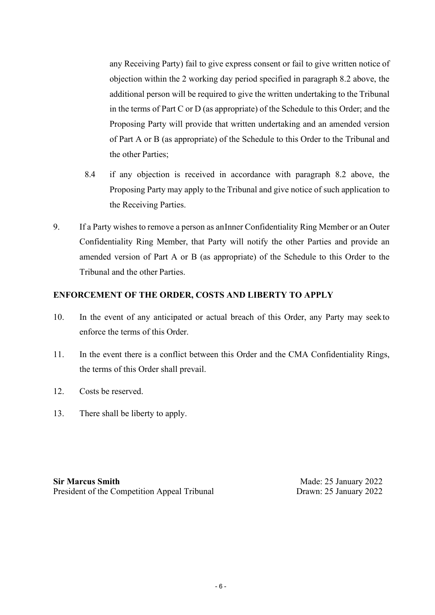any Receiving Party) fail to give express consent or fail to give written notice of objection within the 2 working day period specified in paragraph 8.2 above, the additional person will be required to give the written undertaking to the Tribunal in the terms of Part C or D (as appropriate) of the Schedule to this Order; and the Proposing Party will provide that written undertaking and an amended version of Part A or B (as appropriate) of the Schedule to this Order to the Tribunal and the other Parties;

- 8.4 if any objection is received in accordance with paragraph 8.2 above, the Proposing Party may apply to the Tribunal and give notice of such application to the Receiving Parties.
- 9. If a Party wishes to remove a person as anInner Confidentiality Ring Member or an Outer Confidentiality Ring Member, that Party will notify the other Parties and provide an amended version of Part A or B (as appropriate) of the Schedule to this Order to the Tribunal and the other Parties.

# **ENFORCEMENT OF THE ORDER, COSTS AND LIBERTY TO APPLY**

- 10. In the event of any anticipated or actual breach of this Order, any Party may seek to enforce the terms of this Order.
- 11. In the event there is a conflict between this Order and the CMA Confidentiality Rings, the terms of this Order shall prevail.
- 12. Costs be reserved.
- 13. There shall be liberty to apply.

**Sir Marcus Smith** President of the Competition Appeal Tribunal

Made: 25 January 2022 Drawn: 25 January 2022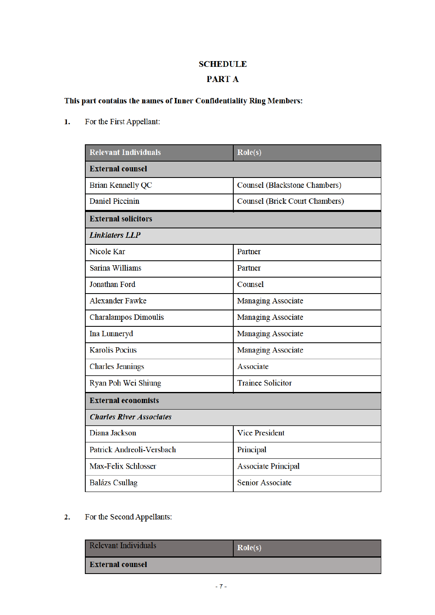# **SCHEDULE**

# **PART A**

# This part contains the names of Inner Confidentiality Ring Members:

For the First Appellant:  $\mathbf{1}$ .

| <b>Relevant Individuals</b>     | $\text{Role}(s)$                      |
|---------------------------------|---------------------------------------|
| <b>External counsel</b>         |                                       |
| <b>Brian Kennelly QC</b>        | <b>Counsel (Blackstone Chambers)</b>  |
| <b>Daniel Piccinin</b>          | <b>Counsel (Brick Court Chambers)</b> |
| <b>External solicitors</b>      |                                       |
| <b>Linklaters LLP</b>           |                                       |
| <b>Nicole Kar</b>               | Partner                               |
| <b>Sarina Williams</b>          | Partner                               |
| <b>Jonathan Ford</b>            | Counsel                               |
| <b>Alexander Fawke</b>          | <b>Managing Associate</b>             |
| <b>Charalampos Dimoulis</b>     | <b>Managing Associate</b>             |
| Ina Lunneryd                    | <b>Managing Associate</b>             |
| <b>Karolis Pocius</b>           | <b>Managing Associate</b>             |
| <b>Charles Jennings</b>         | Associate                             |
| Ryan Poh Wei Shiung             | <b>Trainee Solicitor</b>              |
| <b>External economists</b>      |                                       |
| <b>Charles River Associates</b> |                                       |
| Diana Jackson                   | <b>Vice President</b>                 |
| Patrick Andreoli-Versbach       | Principal                             |
| Max-Felix Schlosser             | <b>Associate Principal</b>            |
| <b>Balázs Csullag</b>           | <b>Senior Associate</b>               |

 $2.$ For the Second Appellants:

| <b>Relevant Individuals</b> | Role(s) |
|-----------------------------|---------|
| External counsel            |         |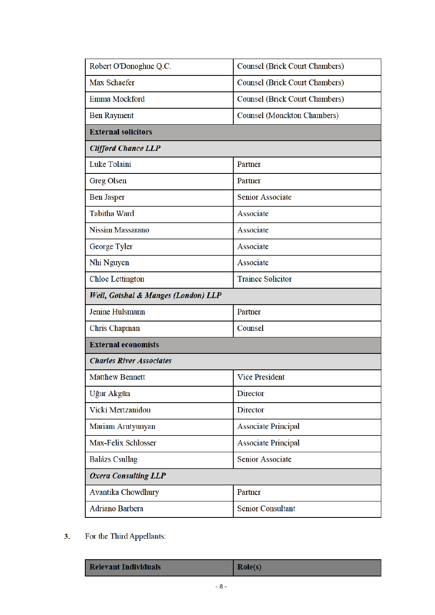| Robert O'Donoghue Q.C.              | <b>Counsel (Brick Court Chambers)</b> |
|-------------------------------------|---------------------------------------|
| Max Schaefer                        | Counsel (Brick Court Chambers)        |
| Emma Mockford                       | Counsel (Brick Court Chambers)        |
| <b>Ben Rayment</b>                  | <b>Counsel (Monckton Chambers)</b>    |
| <b>External solicitors</b>          |                                       |
| <b>Clifford Chance LLP</b>          |                                       |
| <b>Luke Tolaini</b>                 | Partner                               |
| <b>Greg Olsen</b>                   | Partner                               |
| <b>Ben Jasper</b>                   | <b>Senior Associate</b>               |
| <b>Tabitha Ward</b>                 | Associate                             |
| <b>Nissim Massarano</b>             | Associate                             |
| George Tyler                        | Associate                             |
| Nhi Nguyen                          | Associate                             |
| <b>Chloe Lettington</b>             | <b>Trainee Solicitor</b>              |
| Weil, Gotshal & Manges (London) LLP |                                       |
|                                     |                                       |
| Jenine Hulsmann                     | Partner                               |
| Chris Chapman                       | Counsel                               |
| <b>External economists</b>          |                                       |
| <b>Charles River Associates</b>     |                                       |
| <b>Matthew Bennett</b>              | <b>Vice President</b>                 |
| Uğur Akgün                          | <b>Director</b>                       |
| Vicki Mertzanidou                   | <b>Director</b>                       |
| Mariam Arutyunyan                   | <b>Associate Principal</b>            |
| Max-Felix Schlosser                 | <b>Associate Principal</b>            |
| <b>Balázs Csullag</b>               | <b>Senior Associate</b>               |
| <b>Oxera Consulting LLP</b>         |                                       |
| Avantika Chowdhury                  | Partner                               |

For the Third Appellants:  $3.$ 

| <b>Relevant Individuals</b> |
|-----------------------------|
|-----------------------------|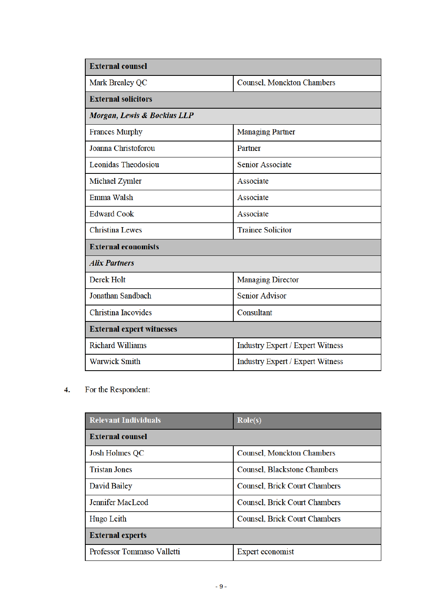| <b>External counsel</b>          |                                         |
|----------------------------------|-----------------------------------------|
| Mark Brealey QC                  | Counsel, Monckton Chambers              |
| <b>External solicitors</b>       |                                         |
| Morgan, Lewis & Bockius LLP      |                                         |
| <b>Frances Murphy</b>            | <b>Managing Partner</b>                 |
| Joanna Christoforou              | Partner                                 |
| <b>Leonidas Theodosiou</b>       | <b>Senior Associate</b>                 |
| Michael Zymler                   | Associate                               |
| Emma Walsh                       | Associate                               |
| <b>Edward Cook</b>               | Associate                               |
| <b>Christina Lewes</b>           | <b>Trainee Solicitor</b>                |
| <b>External economists</b>       |                                         |
| <b>Alix Partners</b>             |                                         |
| Derek Holt                       | <b>Managing Director</b>                |
| Jonathan Sandbach                | <b>Senior Advisor</b>                   |
| <b>Christina Iacovides</b>       | Consultant                              |
| <b>External expert witnesses</b> |                                         |
| <b>Richard Williams</b>          | <b>Industry Expert / Expert Witness</b> |
| <b>Warwick Smith</b>             | <b>Industry Expert / Expert Witness</b> |

For the Respondent:  $\overline{4}$ .

| <b>Relevant Individuals</b> | $\text{Role}(s)$                     |
|-----------------------------|--------------------------------------|
| <b>External counsel</b>     |                                      |
| <b>Josh Holmes QC</b>       | Counsel, Monckton Chambers           |
| <b>Tristan Jones</b>        | Counsel, Blackstone Chambers         |
| David Bailey                | Counsel, Brick Court Chambers        |
| <b>Jennifer MacLeod</b>     | <b>Counsel, Brick Court Chambers</b> |
| Hugo Leith                  | Counsel, Brick Court Chambers        |
| <b>External experts</b>     |                                      |
| Professor Tommaso Valletti  | Expert economist                     |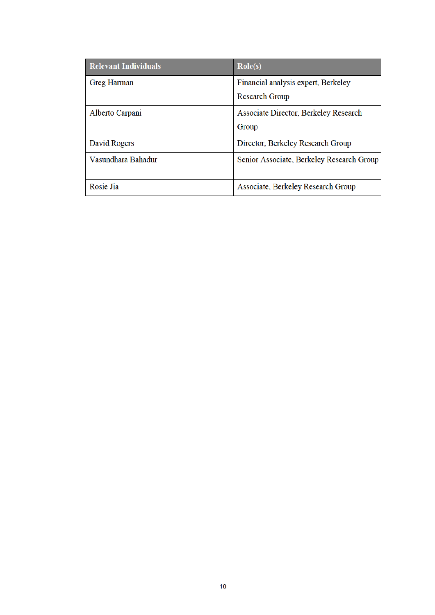| <b>Relevant Individuals</b> | $\text{Role}(s)$                             |
|-----------------------------|----------------------------------------------|
| <b>Greg Harman</b>          | Financial analysis expert, Berkeley          |
|                             | <b>Research Group</b>                        |
| Alberto Carpani             | <b>Associate Director, Berkeley Research</b> |
|                             | Group                                        |
| David Rogers                | Director, Berkeley Research Group            |
| Vasundhara Bahadur          | Senior Associate, Berkeley Research Group    |
| Rosie Jia                   | Associate, Berkeley Research Group           |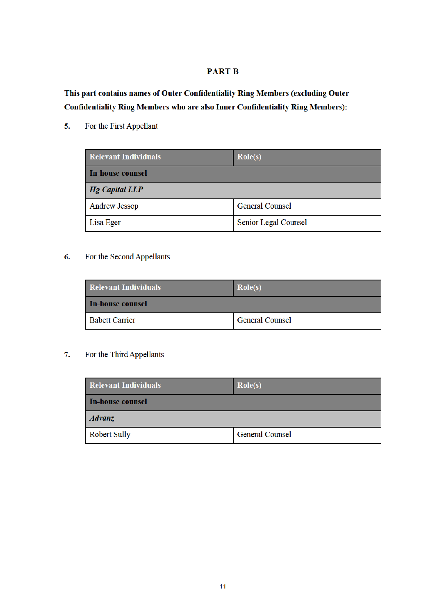## **PART B**

This part contains names of Outer Confidentiality Ring Members (excluding Outer **Confidentiality Ring Members who are also Inner Confidentiality Ring Members):** 

For the First Appellant 5.

| <b>Relevant Individuals</b> | $\text{Role}(s)$            |
|-----------------------------|-----------------------------|
| <b>In-house counsel</b>     |                             |
| $Hg$ Capital LLP            |                             |
| <b>Andrew Jessop</b>        | <b>General Counsel</b>      |
| Lisa Eger                   | <b>Senior Legal Counsel</b> |

#### For the Second Appellants 6.

| <b>Relevant Individuals</b> | Role(s)                |
|-----------------------------|------------------------|
| In-house counsel            |                        |
| <b>Babett Carrier</b>       | <b>General Counsel</b> |

#### For the Third Appellants 7.

| <b>Relevant Individuals</b> | Role(s)                |
|-----------------------------|------------------------|
| In-house counsel            |                        |
| <i>Advanz</i>               |                        |
| <b>Robert Sully</b>         | <b>General Counsel</b> |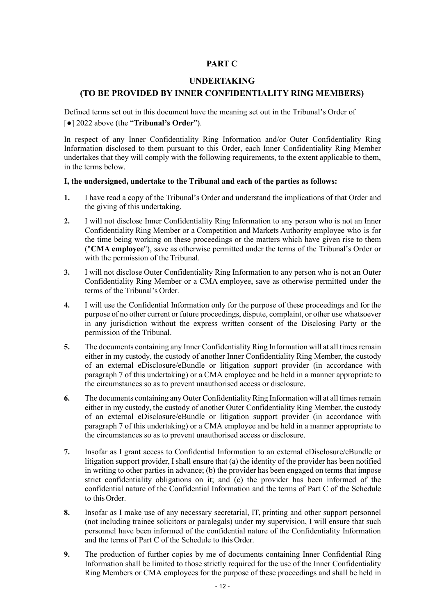## **PART C**

### **UNDERTAKING**

## **(TO BE PROVIDED BY INNER CONFIDENTIALITY RING MEMBERS)**

Defined terms set out in this document have the meaning set out in the Tribunal's Order of [●] 2022 above (the "**Tribunal's Order**").

In respect of any Inner Confidentiality Ring Information and/or Outer Confidentiality Ring Information disclosed to them pursuant to this Order, each Inner Confidentiality Ring Member undertakes that they will comply with the following requirements, to the extent applicable to them, in the terms below.

#### **I, the undersigned, undertake to the Tribunal and each of the parties as follows:**

- **1.** I have read a copy of the Tribunal's Order and understand the implications of that Order and the giving of this undertaking.
- **2.** I will not disclose Inner Confidentiality Ring Information to any person who is not an Inner Confidentiality Ring Member or a Competition and Markets Authority employee who is for the time being working on these proceedings or the matters which have given rise to them ("**CMA employee**"), save as otherwise permitted under the terms of the Tribunal's Order or with the permission of the Tribunal.
- **3.** I will not disclose Outer Confidentiality Ring Information to any person who is not an Outer Confidentiality Ring Member or a CMA employee, save as otherwise permitted under the terms of the Tribunal's Order.
- **4.** I will use the Confidential Information only for the purpose of these proceedings and for the purpose of no other current or future proceedings, dispute, complaint, or other use whatsoever in any jurisdiction without the express written consent of the Disclosing Party or the permission of the Tribunal.
- **5.** The documents containing any Inner Confidentiality Ring Information will at all times remain either in my custody, the custody of another Inner Confidentiality Ring Member, the custody of an external eDisclosure/eBundle or litigation support provider (in accordance with paragraph 7 of this undertaking) or a CMA employee and be held in a manner appropriate to the circumstances so as to prevent unauthorised access or disclosure.
- **6.** The documents containing any Outer Confidentiality Ring Information will at all times remain either in my custody, the custody of another Outer Confidentiality Ring Member, the custody of an external eDisclosure/eBundle or litigation support provider (in accordance with paragraph 7 of this undertaking) or a CMA employee and be held in a manner appropriate to the circumstances so as to prevent unauthorised access or disclosure.
- **7.** Insofar as I grant access to Confidential Information to an external eDisclosure/eBundle or litigation support provider, I shall ensure that (a) the identity of the provider has been notified in writing to other parties in advance; (b) the provider has been engaged on terms that impose strict confidentiality obligations on it; and (c) the provider has been informed of the confidential nature of the Confidential Information and the terms of Part C of the Schedule to this Order.
- **8.** Insofar as I make use of any necessary secretarial, IT, printing and other support personnel (not including trainee solicitors or paralegals) under my supervision, I will ensure that such personnel have been informed of the confidential nature of the Confidentiality Information and the terms of Part C of the Schedule to thisOrder.
- **9.** The production of further copies by me of documents containing Inner Confidential Ring Information shall be limited to those strictly required for the use of the Inner Confidentiality Ring Members or CMA employees for the purpose of these proceedings and shall be held in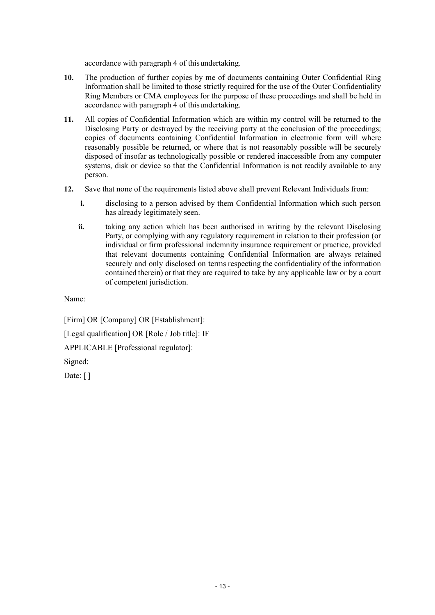accordance with paragraph 4 of thisundertaking.

- **10.** The production of further copies by me of documents containing Outer Confidential Ring Information shall be limited to those strictly required for the use of the Outer Confidentiality Ring Members or CMA employees for the purpose of these proceedings and shall be held in accordance with paragraph 4 of thisundertaking.
- **11.** All copies of Confidential Information which are within my control will be returned to the Disclosing Party or destroyed by the receiving party at the conclusion of the proceedings; copies of documents containing Confidential Information in electronic form will where reasonably possible be returned, or where that is not reasonably possible will be securely disposed of insofar as technologically possible or rendered inaccessible from any computer systems, disk or device so that the Confidential Information is not readily available to any person.
- **12.** Save that none of the requirements listed above shall prevent Relevant Individuals from:
	- **i.** disclosing to a person advised by them Confidential Information which such person has already legitimately seen.
	- **ii.** taking any action which has been authorised in writing by the relevant Disclosing Party, or complying with any regulatory requirement in relation to their profession (or individual or firm professional indemnity insurance requirement or practice, provided that relevant documents containing Confidential Information are always retained securely and only disclosed on terms respecting the confidentiality of the information contained therein) or that they are required to take by any applicable law or by a court of competent jurisdiction.

Name:

[Firm] OR [Company] OR [Establishment]:

[Legal qualification] OR [Role / Job title]: IF

APPLICABLE [Professional regulator]:

Signed:

Date: []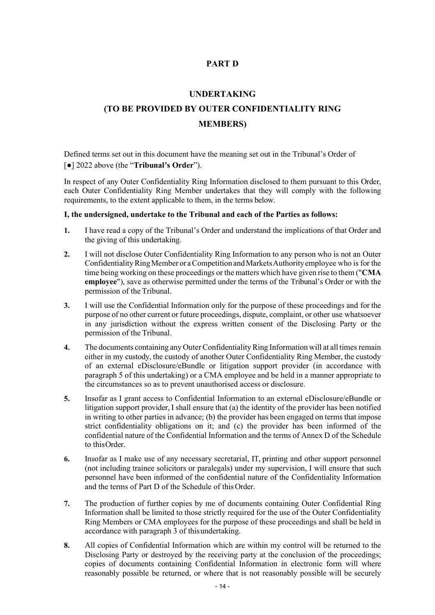## **PART D**

### **UNDERTAKING**

# **(TO BE PROVIDED BY OUTER CONFIDENTIALITY RING MEMBERS)**

Defined terms set out in this document have the meaning set out in the Tribunal's Order of [●] 2022 above (the "**Tribunal's Order**").

In respect of any Outer Confidentiality Ring Information disclosed to them pursuant to this Order, each Outer Confidentiality Ring Member undertakes that they will comply with the following requirements, to the extent applicable to them, in the terms below.

#### **I, the undersigned, undertake to the Tribunal and each of the Parties as follows:**

- **1.** I have read a copy of the Tribunal's Order and understand the implications of that Order and the giving of this undertaking.
- **2.** I will not disclose Outer Confidentiality Ring Information to any person who is not an Outer Confidentiality Ring Member or a Competition and Markets Authority employee who is for the time being working on these proceedings or the matters which have given rise to them ("**CMA employee**"), save as otherwise permitted under the terms of the Tribunal's Order or with the permission of the Tribunal.
- **3.** I will use the Confidential Information only for the purpose of these proceedings and for the purpose of no other current or future proceedings, dispute, complaint, or other use whatsoever in any jurisdiction without the express written consent of the Disclosing Party or the permission of the Tribunal.
- **4.** The documents containing any Outer Confidentiality Ring Information will at all times remain either in my custody, the custody of another Outer Confidentiality Ring Member, the custody of an external eDisclosure/eBundle or litigation support provider (in accordance with paragraph 5 of this undertaking) or a CMA employee and be held in a manner appropriate to the circumstances so as to prevent unauthorised access or disclosure.
- **5.** Insofar as I grant access to Confidential Information to an external eDisclosure/eBundle or litigation support provider, I shall ensure that (a) the identity of the provider has been notified in writing to other parties in advance; (b) the provider has been engaged on terms that impose strict confidentiality obligations on it; and (c) the provider has been informed of the confidential nature of the Confidential Information and the terms of Annex D of the Schedule to thisOrder.
- **6.** Insofar as I make use of any necessary secretarial, IT, printing and other support personnel (not including trainee solicitors or paralegals) under my supervision, I will ensure that such personnel have been informed of the confidential nature of the Confidentiality Information and the terms of Part D of the Schedule of thisOrder.
- **7.** The production of further copies by me of documents containing Outer Confidential Ring Information shall be limited to those strictly required for the use of the Outer Confidentiality Ring Members or CMA employees for the purpose of these proceedings and shall be held in accordance with paragraph 3 of thisundertaking.
- **8.** All copies of Confidential Information which are within my control will be returned to the Disclosing Party or destroyed by the receiving party at the conclusion of the proceedings; copies of documents containing Confidential Information in electronic form will where reasonably possible be returned, or where that is not reasonably possible will be securely